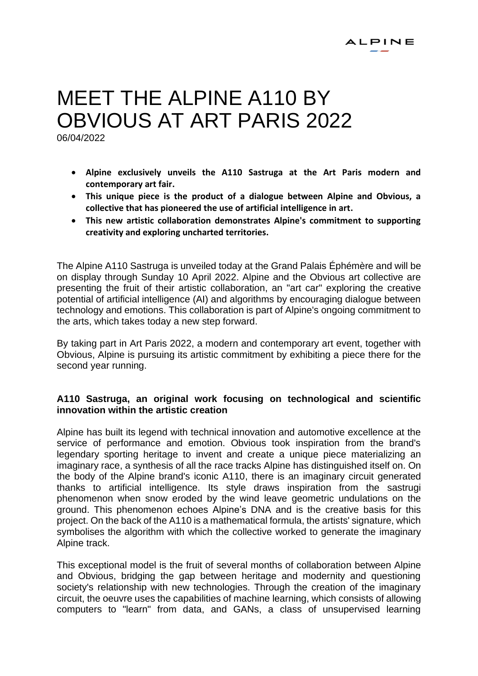# MEFT THE ALPINE A110 BY OBVIOUS AT ART PARIS 2022

06/04/2022

- **Alpine exclusively unveils the A110 Sastruga at the Art Paris modern and contemporary art fair.**
- **This unique piece is the product of a dialogue between Alpine and Obvious, a collective that has pioneered the use of artificial intelligence in art.**
- **This new artistic collaboration demonstrates Alpine's commitment to supporting creativity and exploring uncharted territories.**

The Alpine A110 Sastruga is unveiled today at the Grand Palais Éphémère and will be on display through Sunday 10 April 2022. Alpine and the Obvious art collective are presenting the fruit of their artistic collaboration, an "art car" exploring the creative potential of artificial intelligence (AI) and algorithms by encouraging dialogue between technology and emotions. This collaboration is part of Alpine's ongoing commitment to the arts, which takes today a new step forward.

By taking part in Art Paris 2022, a modern and contemporary art event, together with Obvious, Alpine is pursuing its artistic commitment by exhibiting a piece there for the second year running.

# **A110 Sastruga, an original work focusing on technological and scientific innovation within the artistic creation**

Alpine has built its legend with technical innovation and automotive excellence at the service of performance and emotion. Obvious took inspiration from the brand's legendary sporting heritage to invent and create a unique piece materializing an imaginary race, a synthesis of all the race tracks Alpine has distinguished itself on. On the body of the Alpine brand's iconic A110, there is an imaginary circuit generated thanks to artificial intelligence. Its style draws inspiration from the sastrugi phenomenon when snow eroded by the wind leave geometric undulations on the ground. This phenomenon echoes Alpine's DNA and is the creative basis for this project. On the back of the A110 is a mathematical formula, the artists' signature, which symbolises the algorithm with which the collective worked to generate the imaginary Alpine track.

This exceptional model is the fruit of several months of collaboration between Alpine and Obvious, bridging the gap between heritage and modernity and questioning society's relationship with new technologies. Through the creation of the imaginary circuit, the oeuvre uses the capabilities of machine learning, which consists of allowing computers to "learn" from data, and GANs, a class of unsupervised learning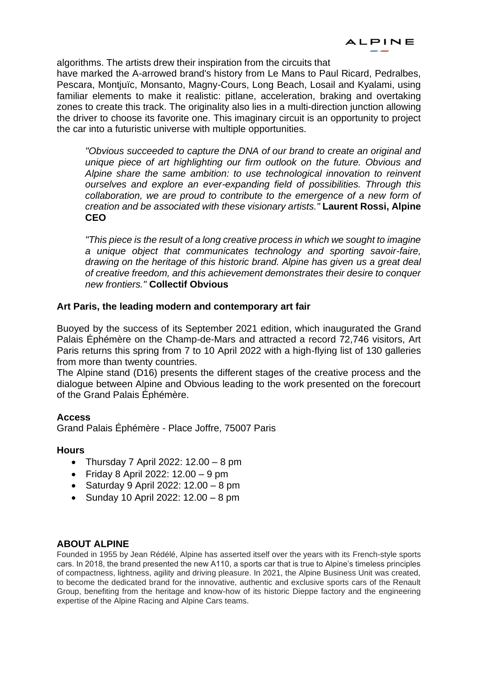algorithms. The artists drew their inspiration from the circuits that

have marked the A-arrowed brand's history from Le Mans to Paul Ricard, Pedralbes, Pescara, Montjuïc, Monsanto, Magny-Cours, Long Beach, Losail and Kyalami, using familiar elements to make it realistic: pitlane, acceleration, braking and overtaking zones to create this track. The originality also lies in a multi-direction junction allowing the driver to choose its favorite one. This imaginary circuit is an opportunity to project the car into a futuristic universe with multiple opportunities.

*"Obvious succeeded to capture the DNA of our brand to create an original and unique piece of art highlighting our firm outlook on the future. Obvious and Alpine share the same ambition: to use technological innovation to reinvent ourselves and explore an ever-expanding field of possibilities. Through this*  collaboration, we are proud to contribute to the emergence of a new form of *creation and be associated with these visionary artists."* **Laurent Rossi, Alpine CEO** 

*"This piece is the result of a long creative process in which we sought to imagine a unique object that communicates technology and sporting savoir-faire, drawing on the heritage of this historic brand. Alpine has given us a great deal of creative freedom, and this achievement demonstrates their desire to conquer new frontiers."* **Collectif Obvious**

# **Art Paris, the leading modern and contemporary art fair**

Buoyed by the success of its September 2021 edition, which inaugurated the Grand Palais Éphémère on the Champ-de-Mars and attracted a record 72,746 visitors, Art Paris returns this spring from 7 to 10 April 2022 with a high-flying list of 130 galleries from more than twenty countries.

The Alpine stand (D16) presents the different stages of the creative process and the dialogue between Alpine and Obvious leading to the work presented on the forecourt of the Grand Palais Éphémère.

## **Access**

Grand Palais Éphémère - Place Joffre, 75007 Paris

## **Hours**

- Thursday 7 April 2022: 12.00 8 pm
- Friday 8 April 2022: 12.00 9 pm
- Saturday 9 April 2022: 12.00 8 pm
- Sunday 10 April 2022: 12.00 8 pm

# **ABOUT ALPINE**

Founded in 1955 by Jean Rédélé, Alpine has asserted itself over the years with its French-style sports cars. In 2018, the brand presented the new A110, a sports car that is true to Alpine's timeless principles of compactness, lightness, agility and driving pleasure. In 2021, the Alpine Business Unit was created, to become the dedicated brand for the innovative, authentic and exclusive sports cars of the Renault Group, benefiting from the heritage and know-how of its historic Dieppe factory and the engineering expertise of the Alpine Racing and Alpine Cars teams.